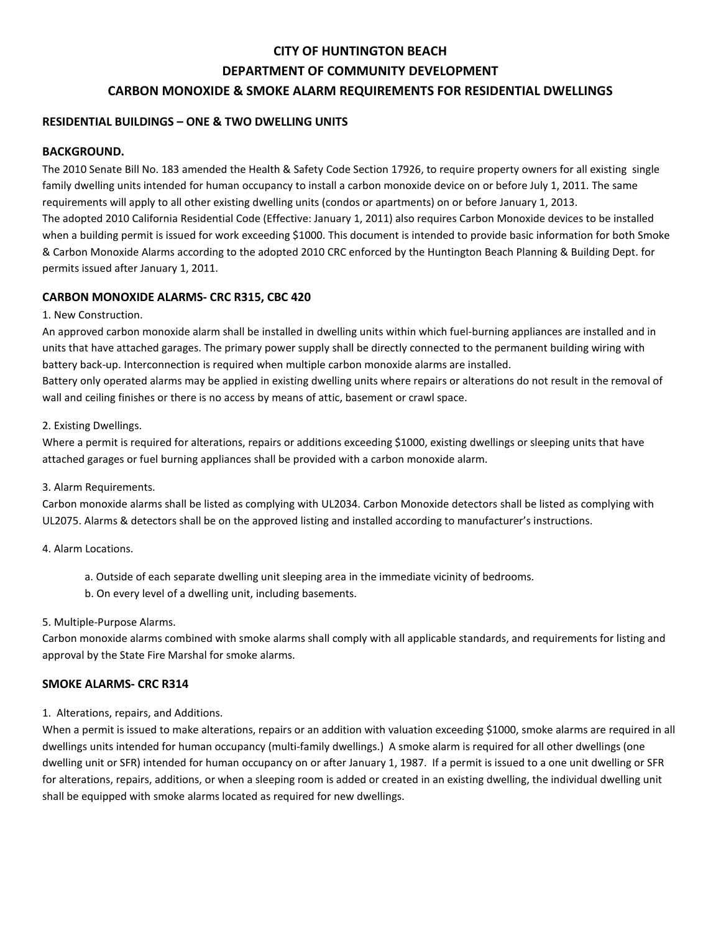# **CITY OF HUNTINGTON BEACH DEPARTMENT OF COMMUNITY DEVELOPMENT CARBON MONOXIDE & SMOKE ALARM REQUIREMENTS FOR RESIDENTIAL DWELLINGS**

## **RESIDENTIAL BUILDINGS – ONE & TWO DWELLING UNITS**

### **BACKGROUND.**

The 2010 Senate Bill No. 183 amended the Health & Safety Code Section 17926, to require property owners for all existing single family dwelling units intended for human occupancy to install a carbon monoxide device on or before July 1, 2011. The same requirements will apply to all other existing dwelling units (condos or apartments) on or before January 1, 2013. The adopted 2010 California Residential Code (Effective: January 1, 2011) also requires Carbon Monoxide devices to be installed when a building permit is issued for work exceeding \$1000. This document is intended to provide basic information for both Smoke & Carbon Monoxide Alarms according to the adopted 2010 CRC enforced by the Huntington Beach Planning & Building Dept. for permits issued after January 1, 2011.

#### **CARBON MONOXIDE ALARMS- CRC R315, CBC 420**

#### 1. New Construction.

An approved carbon monoxide alarm shall be installed in dwelling units within which fuel-burning appliances are installed and in units that have attached garages. The primary power supply shall be directly connected to the permanent building wiring with battery back-up. Interconnection is required when multiple carbon monoxide alarms are installed.

Battery only operated alarms may be applied in existing dwelling units where repairs or alterations do not result in the removal of wall and ceiling finishes or there is no access by means of attic, basement or crawl space.

#### 2. Existing Dwellings.

Where a permit is required for alterations, repairs or additions exceeding \$1000, existing dwellings or sleeping units that have attached garages or fuel burning appliances shall be provided with a carbon monoxide alarm.

#### 3. Alarm Requirements.

Carbon monoxide alarms shall be listed as complying with UL2034. Carbon Monoxide detectors shall be listed as complying with UL2075. Alarms & detectors shall be on the approved listing and installed according to manufacturer's instructions.

#### 4. Alarm Locations.

- a. Outside of each separate dwelling unit sleeping area in the immediate vicinity of bedrooms.
- b. On every level of a dwelling unit, including basements.

#### 5. Multiple-Purpose Alarms.

Carbon monoxide alarms combined with smoke alarms shall comply with all applicable standards, and requirements for listing and approval by the State Fire Marshal for smoke alarms.

#### **SMOKE ALARMS- CRC R314**

#### 1. Alterations, repairs, and Additions.

When a permit is issued to make alterations, repairs or an addition with valuation exceeding \$1000, smoke alarms are required in all dwellings units intended for human occupancy (multi-family dwellings.) A smoke alarm is required for all other dwellings (one dwelling unit or SFR) intended for human occupancy on or after January 1, 1987. If a permit is issued to a one unit dwelling or SFR for alterations, repairs, additions, or when a sleeping room is added or created in an existing dwelling, the individual dwelling unit shall be equipped with smoke alarms located as required for new dwellings.